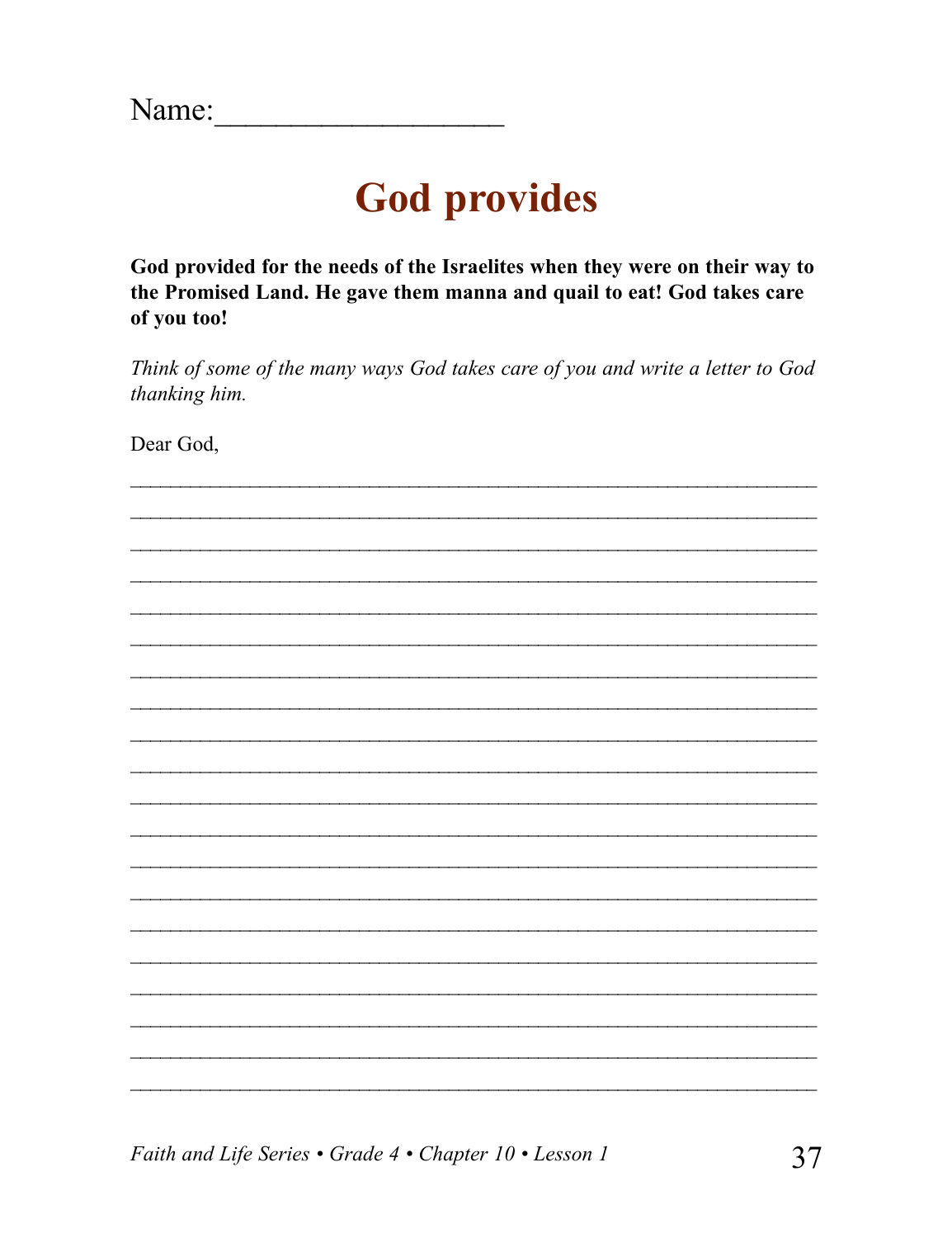## **God provides**

God provided for the needs of the Israelites when they were on their way to the Promised Land. He gave them manna and quail to eat! God takes care of you too!

Think of some of the many ways God takes care of you and write a letter to God thanking him.

Dear God,

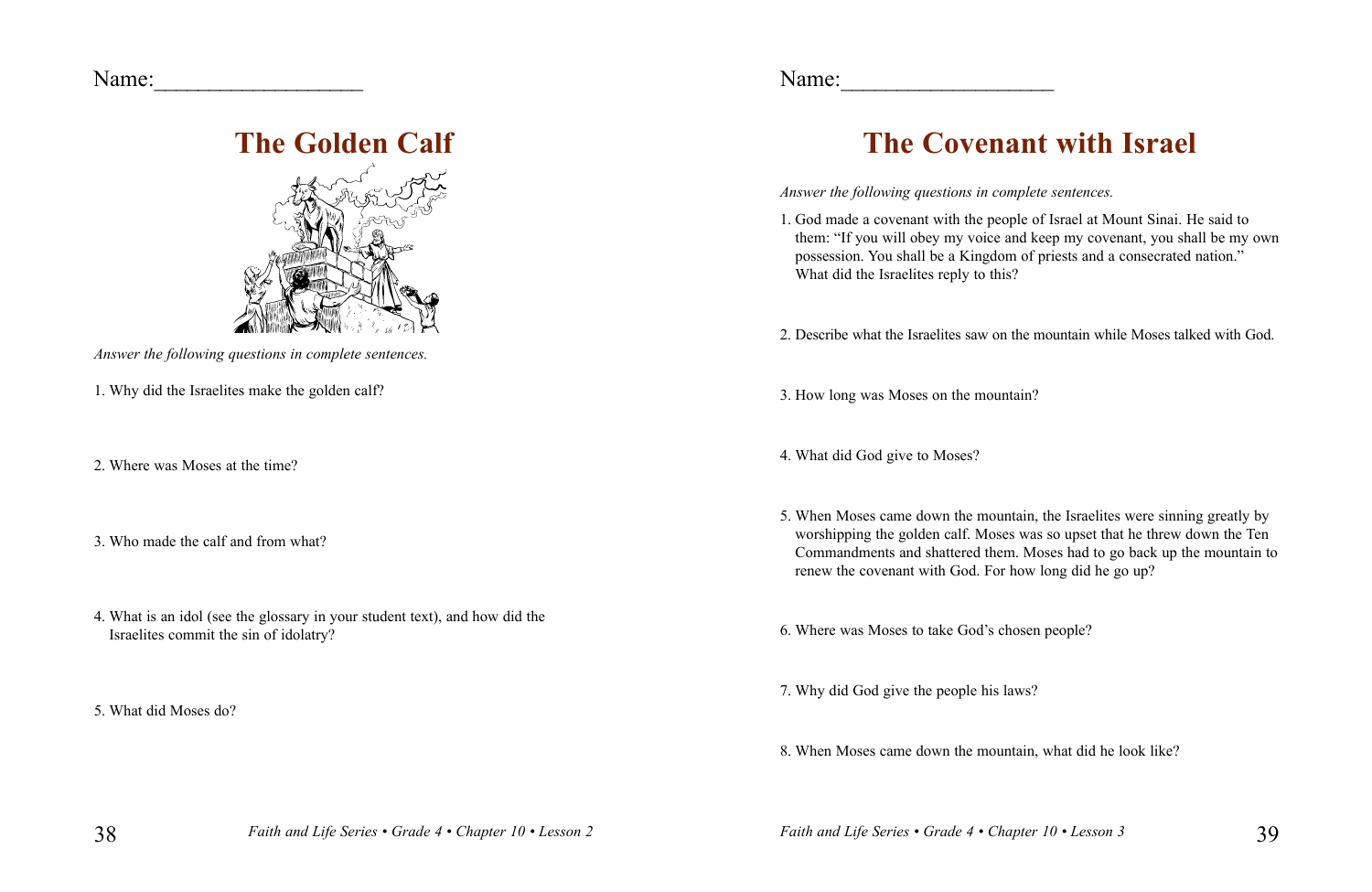Name:

## **The Golden Calf**



- *Answer the following questions in complete sentences.*
- 1. Why did the Israelites make the golden calf?
- 2. Where was Moses at the time?
- 3. Who made the calf and from what?
- 4. What is an idol (see the glossary in your student text), and how did the Israelites commit the sin of idolatry?

5. What did Moses do?

Name:\_\_\_\_\_\_\_\_\_\_\_\_\_\_\_\_\_\_\_

## **The Covenant with Israel**

*Answer the following questions in complete sentences.*

1. God made a covenant with the people of Israel at Mount Sinai. He said to them: "If you will obey my voice and keep my covenant, you shall be my own possession. You shall be a Kingdom of priests and a consecrated nation." What did the Israelites reply to this?

2. Describe what the Israelites saw on the mountain while Moses talked with God.

3. How long was Moses on the mountain?

4. What did God give to Moses?

5. When Moses came down the mountain, the Israelites were sinning greatly by worshipping the golden calf. Moses was so upset that he threw down the Ten Commandments and shattered them. Moses had to go back up the mountain to renew the covenant with God. For how long did he go up?

6. Where was Moses to take God's chosen people?

7. Why did God give the people his laws?

8. When Moses came down the mountain, what did he look like?

38 *Faith and Life Series • Grade 4 • Chapter 10 • Lesson 3 Faith and Life Series • Grade 4 • Chapter 10 • Lesson 2*